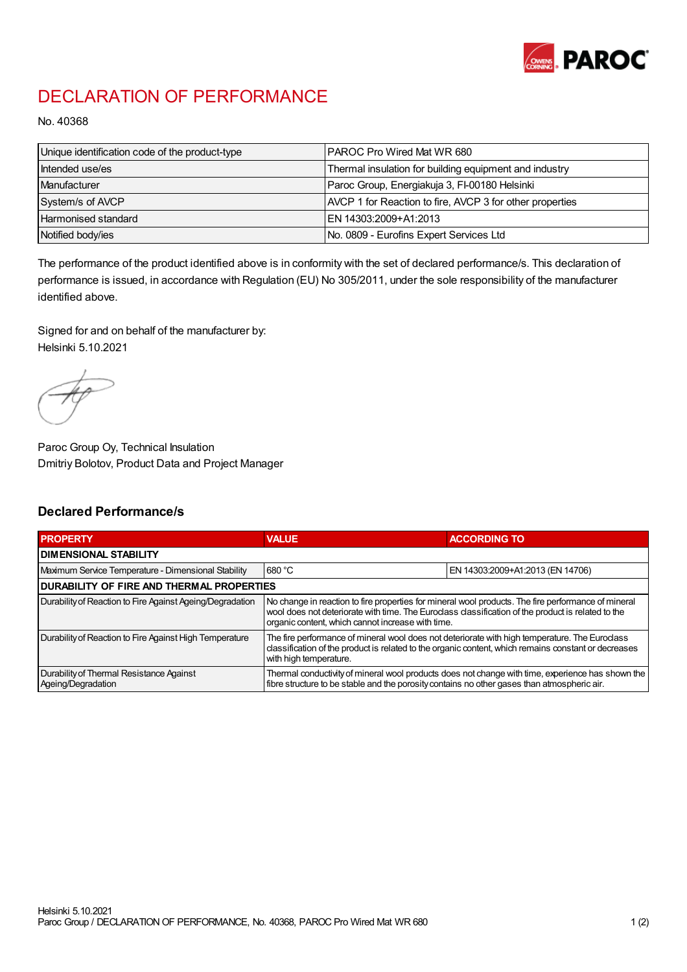

## DECLARATION OF PERFORMANCE

No. 40368

| Unique identification code of the product-type | IPAROC Pro Wired Mat WR 680                              |
|------------------------------------------------|----------------------------------------------------------|
| Intended use/es                                | Thermal insulation for building equipment and industry   |
| Manufacturer                                   | Paroc Group, Energiakuja 3, FI-00180 Helsinki            |
| System/s of AVCP                               | AVCP 1 for Reaction to fire, AVCP 3 for other properties |
| Harmonised standard                            | IEN 14303:2009+A1:2013                                   |
| Notified body/ies                              | No. 0809 - Eurofins Expert Services Ltd                  |

The performance of the product identified above is in conformity with the set of declared performance/s. This declaration of performance is issued, in accordance with Regulation (EU) No 305/2011, under the sole responsibility of the manufacturer identified above.

Signed for and on behalf of the manufacturer by: Helsinki 5.10.2021

Paroc Group Oy, Technical Insulation Dmitriy Bolotov, Product Data and Project Manager

## Declared Performance/s

| <b>PROPERTY</b>                                                | <b>VALUE</b>                                                                                                                                                                                                                                                   | <b>ACCORDING TO.</b>             |  |
|----------------------------------------------------------------|----------------------------------------------------------------------------------------------------------------------------------------------------------------------------------------------------------------------------------------------------------------|----------------------------------|--|
| <b>DIMENSIONAL STABILITY</b>                                   |                                                                                                                                                                                                                                                                |                                  |  |
| Maximum Service Temperature - Dimensional Stability            | 680 °C                                                                                                                                                                                                                                                         | EN 14303:2009+A1:2013 (EN 14706) |  |
| <b>DURABILITY OF FIRE AND THERMAL PROPERTIES</b>               |                                                                                                                                                                                                                                                                |                                  |  |
| Durability of Reaction to Fire Against Ageing/Degradation      | No change in reaction to fire properties for mineral wool products. The fire performance of mineral<br>wool does not deteriorate with time. The Euroclass classification of the product is related to the<br>organic content, which cannot increase with time. |                                  |  |
| Durability of Reaction to Fire Against High Temperature        | The fire performance of mineral wool does not deteriorate with high temperature. The Euroclass<br>classification of the product is related to the organic content, which remains constant or decreases<br>with high temperature.                               |                                  |  |
| Durability of Thermal Resistance Against<br>Ageing/Degradation | Thermal conductivity of mineral wool products does not change with time, experience has shown the<br>fibre structure to be stable and the porosity contains no other gases than atmospheric air.                                                               |                                  |  |